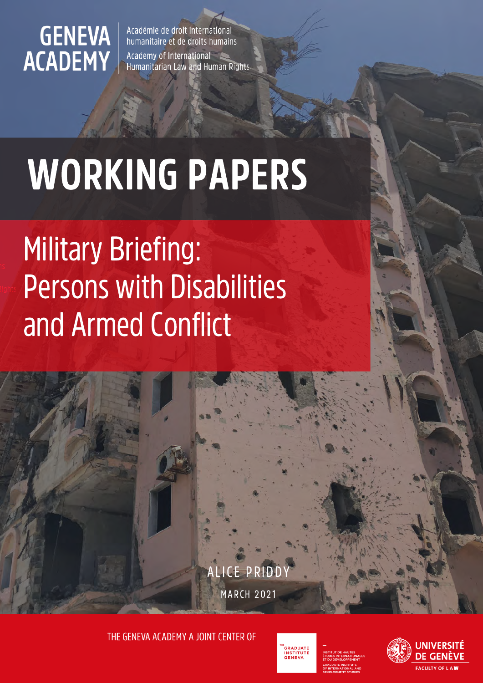# **GENEVA**<br>ACADEMY

Académie de droit international humanitaire et de droits humains

Academy of International Humanitarian Law and Human Rights

## WORKING PAPERS

## Military Briefing: Persons with Disabilities and Armed Conflict

**MARCH 2021** ALICE PRIDD

THE GENEVA ACADEMY A JOINT CENTER OF



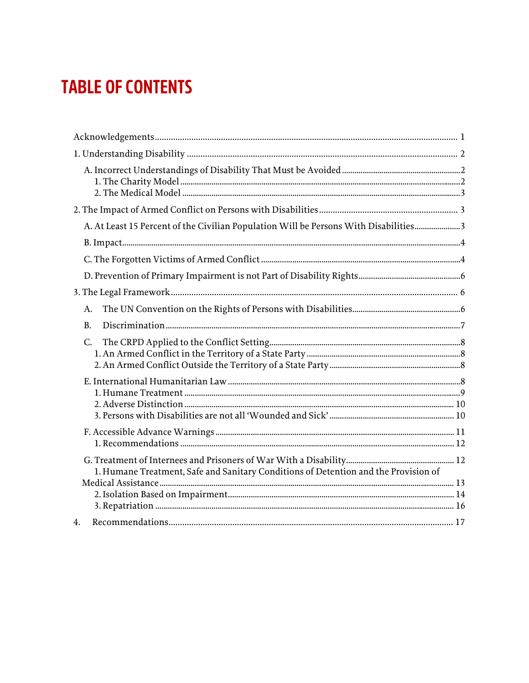## **TABLE OF CONTENTS**

| A. At Least 15 Percent of the Civilian Population Will be Persons With Disabilities3 |  |
|--------------------------------------------------------------------------------------|--|
|                                                                                      |  |
|                                                                                      |  |
|                                                                                      |  |
|                                                                                      |  |
| A.                                                                                   |  |
| B.                                                                                   |  |
| C.                                                                                   |  |
|                                                                                      |  |
|                                                                                      |  |
| 1. Humane Treatment, Safe and Sanitary Conditions of Detention and the Provision of  |  |
| 4.                                                                                   |  |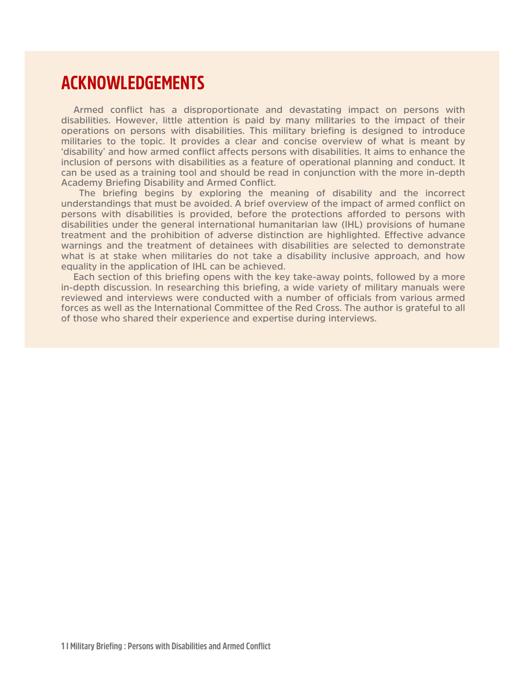### <span id="page-2-0"></span>**ACKNOWLEDGEMENTS**

**Armed conflict has a disproportionate and devastating impact on persons with disabilities. However, little attention is paid by many militaries to the impact of their operations on persons with disabilities. This military briefing is designed to introduce militaries to the topic. It provides a clear and concise overview of what is meant by 'disability' and how armed conflict affects persons with disabilities. It aims to enhance the inclusion of persons with disabilities as a feature of operational planning and conduct. It can be used as a training tool and should be read in conjunction with the more in-depth Academy Briefing Disability and Armed Conflict.**

 **The briefing begins by exploring the meaning of disability and the incorrect understandings that must be avoided. A brief overview of the impact of armed conflict on persons with disabilities is provided, before the protections afforded to persons with disabilities under the general international humanitarian law (IHL) provisions of humane treatment and the prohibition of adverse distinction are highlighted. Effective advance warnings and the treatment of detainees with disabilities are selected to demonstrate what is at stake when militaries do not take a disability inclusive approach, and how equality in the application of IHL can be achieved.** 

**Each section of this briefing opens with the key take-away points, followed by a more in-depth discussion. In researching this briefing, a wide variety of military manuals were reviewed and interviews were conducted with a number of officials from various armed forces as well as the International Committee of the Red Cross. The author is grateful to all of those who shared their experience and expertise during interviews.**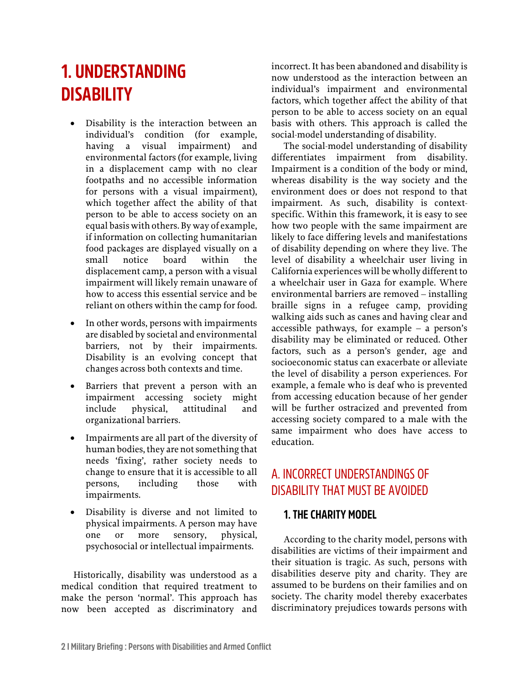## <span id="page-3-0"></span>**1. UNDERSTANDING DISABILITY**

- Disability is the interaction between an individual's condition (for example, having a visual impairment) and environmental factors (for example, living in a displacement camp with no clear footpaths and no accessible information for persons with a visual impairment), which together affect the ability of that person to be able to access society on an equal basis with others. By way of example, if information on collecting humanitarian food packages are displayed visually on a small notice board within the displacement camp, a person with a visual impairment will likely remain unaware of how to access this essential service and be reliant on others within the camp for food.
- In other words, persons with impairments are disabled by societal and environmental barriers, not by their impairments. Disability is an evolving concept that changes across both contexts and time.
- Barriers that prevent a person with an impairment accessing society might include physical, attitudinal and organizational barriers.
- Impairments are all part of the diversity of human bodies, they are not something that needs 'fixing', rather society needs to change to ensure that it is accessible to all persons, including those with impairments.
- Disability is diverse and not limited to physical impairments. A person may have one or more sensory, physical, psychosocial or intellectual impairments.

Historically, disability was understood as a medical condition that required treatment to make the person 'normal'. This approach has now been accepted as discriminatory and incorrect. It has been abandoned and disability is now understood as the interaction between an individual's impairment and environmental factors, which together affect the ability of that person to be able to access society on an equal basis with others. This approach is called the social-model understanding of disability.

The social-model understanding of disability differentiates impairment from disability. Impairment is a condition of the body or mind, whereas disability is the way society and the environment does or does not respond to that impairment. As such, disability is contextspecific. Within this framework, it is easy to see how two people with the same impairment are likely to face differing levels and manifestations of disability depending on where they live. The level of disability a wheelchair user living in California experiences will be wholly different to a wheelchair user in Gaza for example. Where environmental barriers are removed – installing braille signs in a refugee camp, providing walking aids such as canes and having clear and accessible pathways, for example – a person's disability may be eliminated or reduced. Other factors, such as a person's gender, age and socioeconomic status can exacerbate or alleviate the level of disability a person experiences. For example, a female who is deaf who is prevented from accessing education because of her gender will be further ostracized and prevented from accessing society compared to a male with the same impairment who does have access to education.

#### <span id="page-3-1"></span>A. INCORRECT UNDERSTANDINGS OF DISABILITY THAT MUST BE AVOIDED

#### <span id="page-3-2"></span>**1. THE CHARITY MODEL**

According to the charity model, persons with disabilities are victims of their impairment and their situation is tragic. As such, persons with disabilities deserve pity and charity. They are assumed to be burdens on their families and on society. The charity model thereby exacerbates discriminatory prejudices towards persons with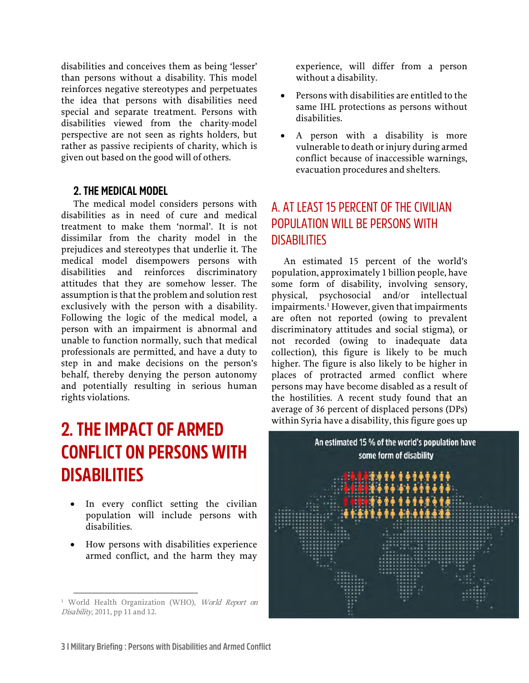disabilities and conceives them as being 'lesser' than persons without a disability. This model reinforces negative stereotypes and perpetuates the idea that persons with disabilities need special and separate treatment. Persons with disabilities viewed from the charity-model perspective are not seen as rights holders, but rather as passive recipients of charity, which is given out based on the good will of others.

#### <span id="page-4-0"></span>**2. THE MEDICAL MODEL**

The medical model considers persons with disabilities as in need of cure and medical treatment to make them 'normal'. It is not dissimilar from the charity model in the prejudices and stereotypes that underlie it. The medical model disempowers persons with disabilities and reinforces discriminatory attitudes that they are somehow lesser. The assumption is that the problem and solution rest exclusively with the person with a disability. Following the logic of the medical model, a person with an impairment is abnormal and unable to function normally, such that medical professionals are permitted, and have a duty to step in and make decisions on the person's behalf, thereby denying the person autonomy and potentially resulting in serious human rights violations.

## <span id="page-4-1"></span>**2. THE IMPACT OF ARMED CONFLICT ON PERSONS WITH DISABILITIES**

- In every conflict setting the civilian population will include persons with disabilities.
- How persons with disabilities experience armed conflict, and the harm they may

experience, will differ from a person without a disability.

- Persons with disabilities are entitled to the same IHL protections as persons without disabilities.
- A person with a disability is more vulnerable to death or injury during armed conflict because of inaccessible warnings, evacuation procedures and shelters.

#### <span id="page-4-2"></span>A. AT LEAST 15 PERCENT OF THE CIVILIAN POPULATION WILL BE PERSONS WITH **DISABILITIES**

An estimated 15 percent of the world's population, approximately 1 billion people, have some form of disability, involving sensory, physical, psychosocial and/or intellectual impairments.<sup>[1](#page-4-3)</sup> However, given that impairments are often not reported (owing to prevalent discriminatory attitudes and social stigma), or not recorded (owing to inadequate data collection), this figure is likely to be much higher. The figure is also likely to be higher in places of protracted armed conflict where persons may have become disabled as a result of the hostilities. A recent study found that an average of 36 percent of displaced persons (DPs) within Syria have a disability, this figure goes up



<span id="page-4-3"></span><sup>&</sup>lt;sup>1</sup> World Health Organization (WHO), World Report on Disability, 2011, pp 11 and 12.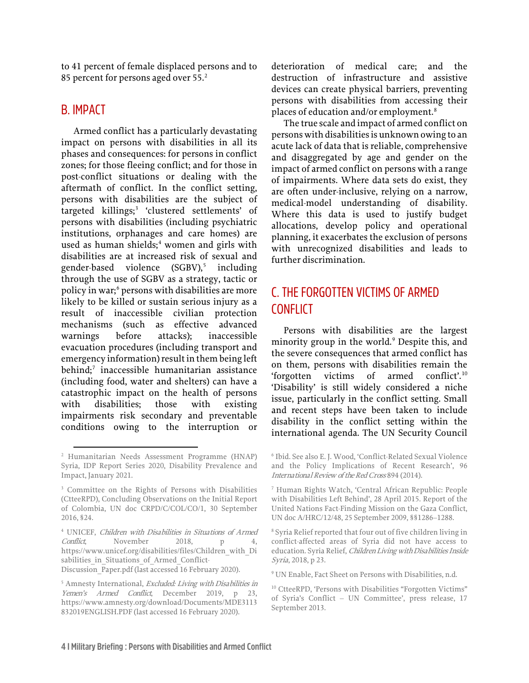to 41 percent of female displaced persons and to 85 percent for persons aged over 55.<sup>[2](#page-5-2)</sup>

#### <span id="page-5-0"></span>B. IMPACT

Armed conflict has a particularly devastating impact on persons with disabilities in all its phases and consequences: for persons in conflict zones; for those fleeing conflict; and for those in post-conflict situations or dealing with the aftermath of conflict. In the conflict setting, persons with disabilities are the subject of targeted killings;<sup>[3](#page-5-3)</sup> 'clustered settlements' of persons with disabilities (including psychiatric institutions, orphanages and care homes) are used as human shields;<sup>[4](#page-5-4)</sup> women and girls with disabilities are at increased risk of sexual and gender-based violence  $(SGBV)$ ,<sup>[5](#page-5-5)</sup> including through the use of SGBV as a strategy, tactic or policy in war;<sup>[6](#page-5-2)</sup> persons with disabilities are more likely to be killed or sustain serious injury as a result of inaccessible civilian protection mechanisms (such as effective advanced warnings before attacks); inaccessible evacuation procedures (including transport and emergency information) result in them being left  $behind;$ <sup>[7](#page-5-3)</sup> inaccessible humanitarian assistance (including food, water and shelters) can have a catastrophic impact on the health of persons with disabilities; those with existing impairments risk secondary and preventable conditions owing to the interruption or deterioration of medical care; and the destruction of infrastructure and assistive devices can create physical barriers, preventing persons with disabilities from accessing their places of education and/or employment.<sup>[8](#page-5-4)</sup>

The true scale and impact of armed conflict on persons with disabilities is unknown owing to an acute lack of data that is reliable, comprehensive and disaggregated by age and gender on the impact of armed conflict on persons with a range of impairments. Where data sets do exist, they are often under-inclusive, relying on a narrow, medical-model understanding of disability. Where this data is used to justify budget allocations, develop policy and operational planning, it exacerbates the exclusion of persons with unrecognized disabilities and leads to further discrimination.

#### <span id="page-5-1"></span>C. THE FORGOTTEN VICTIMS OF ARMED **CONFLICT**

Persons with disabilities are the largest minority group in the world.<sup>[9](#page-5-6)</sup> Despite this, and the severe consequences that armed conflict has on them, persons with disabilities remain the 'forgotten victims of armed conflict'.[10](#page-5-7) 'Disability' is still widely considered a niche issue, particularly in the conflict setting. Small and recent steps have been taken to include disability in the conflict setting within the international agenda. The UN Security Council

<span id="page-5-2"></span><sup>2</sup> Humanitarian Needs Assessment Programme (HNAP) Syria, IDP Report Series 2020, Disability Prevalence and Impact, January 2021.

<span id="page-5-3"></span><sup>3</sup> Committee on the Rights of Persons with Disabilities (CtteeRPD), Concluding Observations on the Initial Report of Colombia, UN doc CRPD/C/COL/CO/1, 30 September 2016, §24.

<span id="page-5-4"></span><sup>4</sup> UNICEF, Children with Disabilities in Situations of Armed Conflict, November 2018, p 4, [https://www.unicef.org/disabilities/files/Children\\_with\\_Di](https://www.unicef.org/disabilities/files/Children_with_Disabilities_in_Situations_of_Armed_Conflict-Discussion_Paper.pdf) sabilities in Situations of Armed Conflict-[Discussion\\_Paper.pdf \(](https://www.unicef.org/disabilities/files/Children_with_Disabilities_in_Situations_of_Armed_Conflict-Discussion_Paper.pdf)last accessed 16 February 2020).

<span id="page-5-7"></span><span id="page-5-6"></span><span id="page-5-5"></span><sup>&</sup>lt;sup>5</sup> Amnesty International, Excluded: Living with Disabilities in Yemen's Armed Conflict, December 2019, p 23, [https://www.amnesty.org/download/Documents/MDE3113](https://www.amnesty.org/download/Documents/MDE3113832019ENGLISH.PDF) [832019ENGLISH.PDF \(](https://www.amnesty.org/download/Documents/MDE3113832019ENGLISH.PDF)last accessed 16 February 2020).

<sup>6</sup> Ibid. See also E. J. Wood, 'Conflict-Related Sexual Violence and the Policy Implications of Recent Research', 96 International Review of the Red Cross 894 (2014).

<sup>7</sup> Human Rights Watch, 'Central African Republic: People with Disabilities Left Behind', 28 April 2015. Report of the United Nations Fact-Finding Mission on the Gaza Conflict, UN doc A/HRC/12/48, 25 September 2009, §§1286–1288.

<sup>8</sup> Syria Relief reported that four out of five children living in conflict-affected areas of Syria did not have access to education. Syria Relief, Children Living with Disabilities Inside Syria, 2018, p 23.

<sup>9</sup> UN Enable, Fact Sheet on Persons with Disabilities, n.d.

<sup>&</sup>lt;sup>10</sup> CtteeRPD, 'Persons with Disabilities "Forgotten Victims" of Syria's Conflict – UN Committee', press release, 17 September 2013.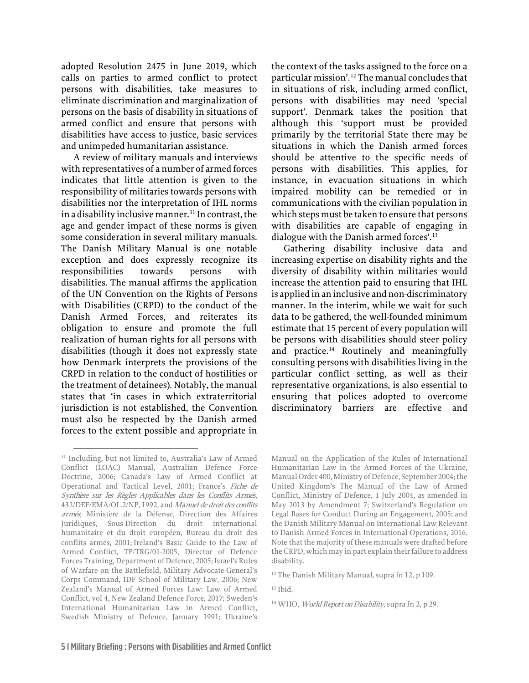adopted Resolution 2475 in June 2019, which calls on parties to armed conflict to protect persons with disabilities, take measures to eliminate discrimination and marginalization of persons on the basis of disability in situations of armed conflict and ensure that persons with disabilities have access to justice, basic services and unimpeded humanitarian assistance.

A review of military manuals and interviews with representatives of a number of armed forces indicates that little attention is given to the responsibility of militaries towards persons with disabilities nor the interpretation of IHL norms in a disability inclusive manner.<sup>[11](#page-6-0)</sup> In contrast, the age and gender impact of these norms is given some consideration in several military manuals. The Danish Military Manual is one notable exception and does expressly recognize its responsibilities towards persons with disabilities. The manual affirms the application of the UN Convention on the Rights of Persons with Disabilities (CRPD) to the conduct of the Danish Armed Forces, and reiterates its obligation to ensure and promote the full realization of human rights for all persons with disabilities (though it does not expressly state how Denmark interprets the provisions of the CRPD in relation to the conduct of hostilities or the treatment of detainees). Notably, the manual states that 'in cases in which extraterritorial jurisdiction is not established, the Convention must also be respected by the Danish armed forces to the extent possible and appropriate in

the context of the tasks assigned to the force on a particular mission'.[12](#page-6-1) The manual concludes that in situations of risk, including armed conflict, persons with disabilities may need 'special support'. Denmark takes the position that although this 'support must be provided primarily by the territorial State there may be situations in which the Danish armed forces should be attentive to the specific needs of persons with disabilities. This applies, for instance, in evacuation situations in which impaired mobility can be remedied or in communications with the civilian population in which steps must be taken to ensure that persons with disabilities are capable of engaging in dialogue with the Danish armed forces'.<sup>[13](#page-6-2)</sup>

Gathering disability inclusive data and increasing expertise on disability rights and the diversity of disability within militaries would increase the attention paid to ensuring that IHL is applied in an inclusive and non-discriminatory manner. In the interim, while we wait for such data to be gathered, the well-founded minimum estimate that 15 percent of every population will be persons with disabilities should steer policy and practice.<sup>[14](#page-6-3)</sup> Routinely and meaningfully consulting persons with disabilities living in the particular conflict setting, as well as their representative organizations, is also essential to ensuring that polices adopted to overcome discriminatory barriers are effective and

<span id="page-6-3"></span><span id="page-6-2"></span><span id="page-6-1"></span><span id="page-6-0"></span><sup>&</sup>lt;sup>11</sup> Including, but not limited to, Australia's Law of Armed Conflict (LOAC) Manual, Australian Defence Force Doctrine, 2006; Canada's Law of Armed Conflict at Operational and Tactical Level, 2001; France's Fiche de Synthèse sur les Règles Applicables dans les Conflits Armés, 432/DEF/EMA/OL.2/NP, 1992, and Manuel de droit des conflits armés, Ministère de la Défense, Direction des Affaires Juridiques, Sous-Direction du droit international humanitaire et du droit européen, Bureau du droit des conflits armés, 2001; Ireland's Basic Guide to the Law of Armed Conflict, TP/TRG/01-2005, Director of Defence Forces Training, Department of Defence, 2005; Israel's Rules of Warfare on the Battlefield, Military Advocate-General's Corps Command, IDF School of Military Law, 2006; New Zealand's Manual of Armed Forces Law: Law of Armed Conflict, vol 4, New Zealand Defence Force, 2017; Sweden's International Humanitarian Law in Armed Conflict, Swedish Ministry of Defence, January 1991; Ukraine's

Manual on the Application of the Rules of International Humanitarian Law in the Armed Forces of the Ukraine, Manual Order 400, Ministry of Defence, September 2004; the United Kingdom's The Manual of the Law of Armed Conflict, Ministry of Defence, 1 July 2004, as amended in May 2013 by Amendment 7; Switzerland's Regulation on Legal Bases for Conduct During an Engagement, 2005; and the Danish Military Manual on International Law Relevant to Danish Armed Forces in International Operations, 2016. Note that the majority of these manuals were drafted before the CRPD, which may in part explain their failure to address disability.

<sup>&</sup>lt;sup>12</sup> The Danish Military Manual, supra fn 12, p 109.

<sup>13</sup> Ibid.

 $14$  WHO, *World Report on Disability*, supra fn 2, p 29.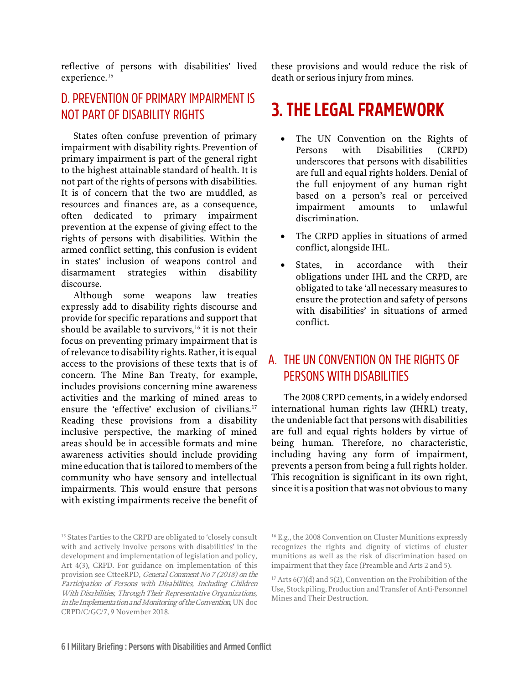reflective of persons with disabilities' lived experience.<sup>[15](#page-7-3)</sup>

#### <span id="page-7-0"></span>D. PREVENTION OF PRIMARY IMPAIRMENT IS NOT PART OF DISABILITY RIGHTS

States often confuse prevention of primary impairment with disability rights. Prevention of primary impairment is part of the general right to the highest attainable standard of health. It is not part of the rights of persons with disabilities. It is of concern that the two are muddled, as resources and finances are, as a consequence, often dedicated to primary impairment prevention at the expense of giving effect to the rights of persons with disabilities. Within the armed conflict setting, this confusion is evident in states' inclusion of weapons control and disarmament strategies within disability discourse.

Although some weapons law treaties expressly add to disability rights discourse and provide for specific reparations and support that should be available to survivors, $16$  it is not their focus on preventing primary impairment that is of relevance to disability rights. Rather, it is equal access to the provisions of these texts that is of concern. The Mine Ban Treaty, for example, includes provisions concerning mine awareness activities and the marking of mined areas to ensure the 'effective' exclusion of civilians.<sup>[17](#page-7-4)</sup> Reading these provisions from a disability inclusive perspective, the marking of mined areas should be in accessible formats and mine awareness activities should include providing mine education that is tailored to members of the community who have sensory and intellectual impairments. This would ensure that persons with existing impairments receive the benefit of

these provisions and would reduce the risk of death or serious injury from mines.

## <span id="page-7-1"></span>**3. THE LEGAL FRAMEWORK**

- The UN Convention on the Rights of Persons with Disabilities (CRPD) underscores that persons with disabilities are full and equal rights holders. Denial of the full enjoyment of any human right based on a person's real or perceived impairment amounts to unlawful discrimination.
- The CRPD applies in situations of armed conflict, alongside IHL.
- States, in accordance with their obligations under IHL and the CRPD, are obligated to take 'all necessary measures to ensure the protection and safety of persons with disabilities' in situations of armed conflict.

#### <span id="page-7-2"></span>A. THE UN CONVENTION ON THE RIGHTS OF PERSONS WITH DISABILITIES

The 2008 CRPD cements, in a widely endorsed international human rights law (IHRL) treaty, the undeniable fact that persons with disabilities are full and equal rights holders by virtue of being human. Therefore, no characteristic, including having any form of impairment, prevents a person from being a full rights holder. This recognition is significant in its own right, since it is a position that was not obvious to many

<span id="page-7-4"></span><span id="page-7-3"></span><sup>&</sup>lt;sup>15</sup> States Parties to the CRPD are obligated to 'closely consult with and actively involve persons with disabilities' in the development and implementation of legislation and policy, Art 4(3), CRPD. For guidance on implementation of this provision see CtteeRPD, General Comment No 7 (2018) on the Participation of Persons with Disabilities, Including Children With Disabilities, Through Their Representative Organizations, in the Implementation and Monitoring of the Convention, UN doc CRPD/C/GC/7, 9 November 2018.

<sup>&</sup>lt;sup>16</sup> E.g., the 2008 Convention on Cluster Munitions expressly recognizes the rights and dignity of victims of cluster munitions as well as the risk of discrimination based on impairment that they face (Preamble and Arts 2 and 5).

 $17$  Arts 6(7)(d) and 5(2), Convention on the Prohibition of the Use, Stockpiling, Production and Transfer of Anti-Personnel Mines and Their Destruction.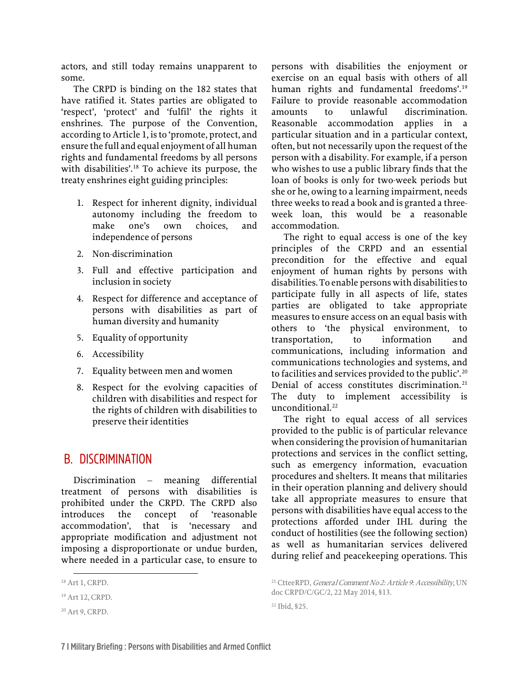actors, and still today remains unapparent to some.

The CRPD is binding on the 182 states that have ratified it. States parties are obligated to 'respect', 'protect' and 'fulfil' the rights it enshrines. The purpose of the Convention, according to Article 1, is to 'promote, protect, and ensure the full and equal enjoyment of all human rights and fundamental freedoms by all persons with disabilities'.<sup>[18](#page-8-1)</sup> To achieve its purpose, the treaty enshrines eight guiding principles:

- 1. Respect for inherent dignity, individual autonomy including the freedom to make one's own choices, and independence of persons
- 2. Non-discrimination
- 3. Full and effective participation and inclusion in society
- 4. Respect for difference and acceptance of persons with disabilities as part of human diversity and humanity
- 5. Equality of opportunity
- 6. Accessibility
- 7. Equality between men and women
- 8. Respect for the evolving capacities of children with disabilities and respect for the rights of children with disabilities to preserve their identities

#### <span id="page-8-0"></span>B. DISCRIMINATION

Discrimination – meaning differential treatment of persons with disabilities is prohibited under the CRPD. The CRPD also introduces the concept of 'reasonable accommodation', that is 'necessary and appropriate modification and adjustment not imposing a disproportionate or undue burden, where needed in a particular case, to ensure to persons with disabilities the enjoyment or exercise on an equal basis with others of all human rights and fundamental freedoms'.<sup>[19](#page-8-2)</sup> Failure to provide reasonable accommodation amounts to unlawful discrimination. Reasonable accommodation applies in a particular situation and in a particular context, often, but not necessarily upon the request of the person with a disability. For example, if a person who wishes to use a public library finds that the loan of books is only for two-week periods but she or he, owing to a learning impairment, needs three weeks to read a book and is granted a threeweek loan, this would be a reasonable accommodation.

The right to equal access is one of the key principles of the CRPD and an essential precondition for the effective and equal enjoyment of human rights by persons with disabilities. To enable persons with disabilities to participate fully in all aspects of life, states parties are obligated to take appropriate measures to ensure access on an equal basis with others to 'the physical environment, to transportation, to information and communications, including information and communications technologies and systems, and to facilities and services provided to the public'.<sup>[20](#page-8-3)</sup> Denial of access constitutes discrimination.<sup>[21](#page-8-1)</sup> The duty to implement accessibility is unconditional.<sup>22</sup>

The right to equal access of all services provided to the public is of particular relevance when considering the provision of humanitarian protections and services in the conflict setting, such as emergency information, evacuation procedures and shelters. It means that militaries in their operation planning and delivery should take all appropriate measures to ensure that persons with disabilities have equal access to the protections afforded under IHL during the conduct of hostilities (see the following section) as well as humanitarian services delivered during relief and peacekeeping operations. This

22 Ibid, §25.

<span id="page-8-1"></span><sup>18</sup> Art 1, CRPD.

<span id="page-8-2"></span><sup>19</sup> Art 12, CRPD.

<span id="page-8-4"></span><span id="page-8-3"></span><sup>20</sup> Art 9, CRPD.

<sup>&</sup>lt;sup>21</sup> CtteeRPD, *General Comment No 2: Article 9: Accessibility*, UN doc CRPD/C/GC/2, 22 May 2014, §13.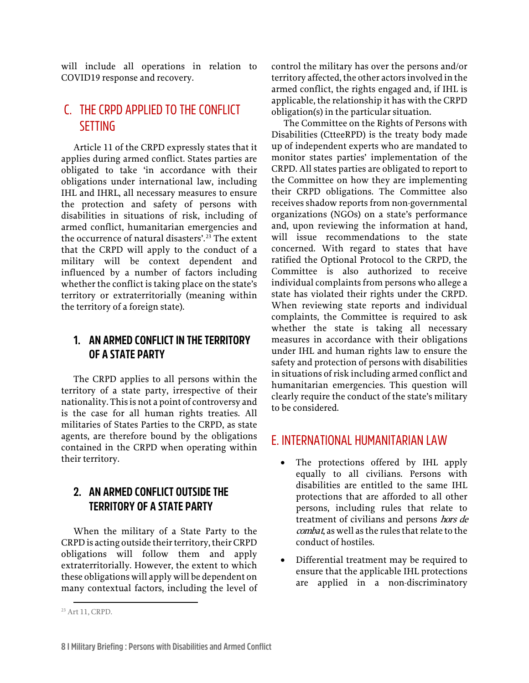will include all operations in relation to COVID19 response and recovery.

#### <span id="page-9-0"></span>C. THE CRPD APPLIED TO THE CONFLICT **SETTING**

Article 11 of the CRPD expressly states that it applies during armed conflict. States parties are obligated to take 'in accordance with their obligations under international law, including IHL and IHRL, all necessary measures to ensure the protection and safety of persons with disabilities in situations of risk, including of armed conflict, humanitarian emergencies and the occurrence of natural disasters'.<sup>[23](#page-9-4)</sup> The extent that the CRPD will apply to the conduct of a military will be context dependent and influenced by a number of factors including whether the conflict is taking place on the state's territory or extraterritorially (meaning within the territory of a foreign state).

#### <span id="page-9-1"></span>**1. AN ARMED CONFLICT IN THE TERRITORY OF A STATE PARTY**

The CRPD applies to all persons within the territory of a state party, irrespective of their nationality. This is not a point of controversy and is the case for all human rights treaties. All militaries of States Parties to the CRPD, as state agents, are therefore bound by the obligations contained in the CRPD when operating within their territory.

#### <span id="page-9-2"></span>**2. AN ARMED CONFLICT OUTSIDE THE TERRITORY OF A STATE PARTY**

When the military of a State Party to the CRPD is acting outside their territory, their CRPD obligations will follow them and apply extraterritorially. However, the extent to which these obligations will apply will be dependent on many contextual factors, including the level of control the military has over the persons and/or territory affected, the other actors involved in the armed conflict, the rights engaged and, if IHL is applicable, the relationship it has with the CRPD obligation(s) in the particular situation.

The Committee on the Rights of Persons with Disabilities (CtteeRPD) is the treaty body made up of independent experts who are mandated to monitor states parties' implementation of the CRPD. All states parties are obligated to report to the Committee on how they are implementing their CRPD obligations. The Committee also receives shadow reports from non-governmental organizations (NGOs) on a state's performance and, upon reviewing the information at hand, will issue recommendations to the state concerned. With regard to states that have ratified the Optional Protocol to the CRPD, the Committee is also authorized to receive individual complaints from persons who allege a state has violated their rights under the CRPD. When reviewing state reports and individual complaints, the Committee is required to ask whether the state is taking all necessary measures in accordance with their obligations under IHL and human rights law to ensure the safety and protection of persons with disabilities in situations of risk including armed conflict and humanitarian emergencies. This question will clearly require the conduct of the state's military to be considered.

#### <span id="page-9-3"></span>E. INTERNATIONAL HUMANITARIAN LAW

- The protections offered by IHL apply equally to all civilians. Persons with disabilities are entitled to the same IHL protections that are afforded to all other persons, including rules that relate to treatment of civilians and persons hors de combat, as well as the rules that relate to the conduct of hostiles.
- Differential treatment may be required to ensure that the applicable IHL protections are applied in a non-discriminatory

<span id="page-9-4"></span><sup>23</sup> Art 11, CRPD.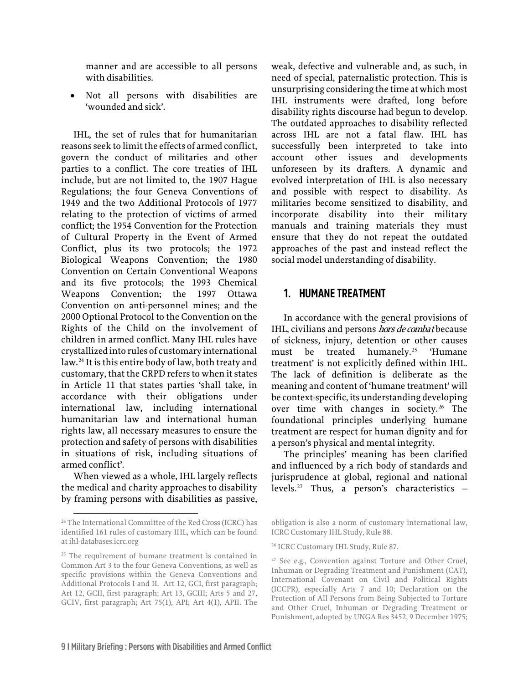manner and are accessible to all persons with disabilities.

• Not all persons with disabilities are 'wounded and sick'.

IHL, the set of rules that for humanitarian reasons seek to limit the effects of armed conflict, govern the conduct of militaries and other parties to a conflict. The core treaties of IHL include, but are not limited to, the 1907 Hague Regulations; the four Geneva Conventions of 1949 and the two Additional Protocols of 1977 relating to the protection of victims of armed conflict; the 1954 Convention for the Protection of Cultural Property in the Event of Armed Conflict, plus its two protocols; the 1972 Biological Weapons Convention; the 1980 Convention on Certain Conventional Weapons and its five protocols; the 1993 Chemical Weapons Convention; the 1997 Ottawa Convention on anti-personnel mines; and the 2000 Optional Protocol to the Convention on the Rights of the Child on the involvement of children in armed conflict. Many IHL rules have crystallized into rules of customary international law.[24](#page-10-1) It is this entire body of law, both treaty and customary, that the CRPD refers to when it states in Article 11 that states parties 'shall take, in accordance with their obligations under international law, including international humanitarian law and international human rights law, all necessary measures to ensure the protection and safety of persons with disabilities in situations of risk, including situations of armed conflict'.

When viewed as a whole, IHL largely reflects the medical and charity approaches to disability by framing persons with disabilities as passive, weak, defective and vulnerable and, as such, in need of special, paternalistic protection. This is unsurprising considering the time at which most IHL instruments were drafted, long before disability rights discourse had begun to develop. The outdated approaches to disability reflected across IHL are not a fatal flaw. IHL has successfully been interpreted to take into account other issues and developments unforeseen by its drafters. A dynamic and evolved interpretation of IHL is also necessary and possible with respect to disability. As militaries become sensitized to disability, and incorporate disability into their military manuals and training materials they must ensure that they do not repeat the outdated approaches of the past and instead reflect the social model understanding of disability.

#### <span id="page-10-0"></span>**1. HUMANE TREATMENT**

In accordance with the general provisions of IHL, civilians and persons *hors de combat* because of sickness, injury, detention or other causes must be treated humanely.<sup>[25](#page-10-2)</sup> 'Humane treatment' is not explicitly defined within IHL. The lack of definition is deliberate as the meaning and content of 'humane treatment' will be context-specific, its understanding developing over time with changes in society.<sup>[26](#page-10-3)</sup> The foundational principles underlying humane treatment are respect for human dignity and for a person's physical and mental integrity.

The principles' meaning has been clarified and influenced by a rich body of standards and jurisprudence at global, regional and national levels.<sup>[27](#page-10-4)</sup> Thus, a person's characteristics  $-$ 

<span id="page-10-1"></span><sup>24</sup> The International Committee of the Red Cross (ICRC) has identified 161 rules of customary IHL, which can be found at ihl-databases.icrc.org

<span id="page-10-4"></span><span id="page-10-3"></span><span id="page-10-2"></span><sup>&</sup>lt;sup>25</sup> The requirement of humane treatment is contained in Common Art 3 to the four Geneva Conventions, as well as specific provisions within the Geneva Conventions and Additional Protocols I and II. Art 12, GCI, first paragraph; Art 12, GCII, first paragraph; Art 13, GCIII; Arts 5 and 27, GCIV, first paragraph; Art 75(1), API; Art 4(1), APII. The

obligation is also a norm of customary international law, ICRC Customary IHL Study, Rule 88.

<sup>26</sup> ICRC Customary IHL Study, Rule 87.

<sup>&</sup>lt;sup>27</sup> See e.g., Convention against Torture and Other Cruel, Inhuman or Degrading Treatment and Punishment (CAT), International Covenant on Civil and Political Rights (ICCPR), especially Arts 7 and 10; Declaration on the Protection of All Persons from Being Subjected to Torture and Other Cruel, Inhuman or Degrading Treatment or Punishment, adopted by UNGA Res 3452, 9 December 1975;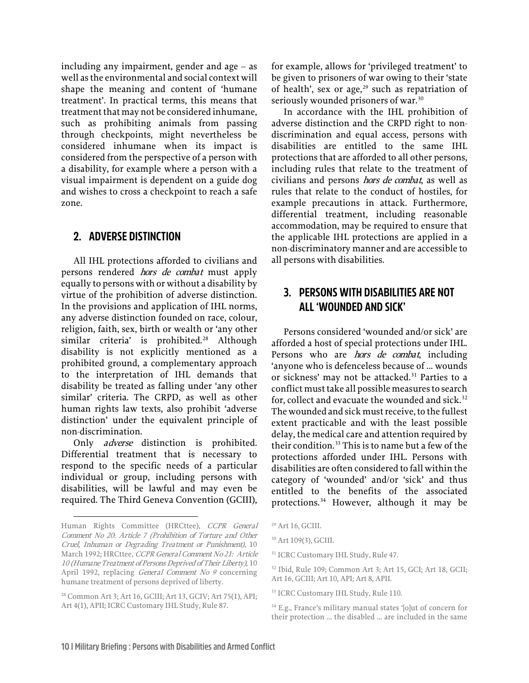including any impairment, gender and age – as well as the environmental and social context will shape the meaning and content of 'humane treatment'. In practical terms, this means that treatment that may not be considered inhumane, such as prohibiting animals from passing through checkpoints, might nevertheless be considered inhumane when its impact is considered from the perspective of a person with a disability, for example where a person with a visual impairment is dependent on a guide dog and wishes to cross a checkpoint to reach a safe zone.

#### <span id="page-11-0"></span>**2. ADVERSE DISTINCTION**

All IHL protections afforded to civilians and persons rendered hors de combat must apply equally to persons with or without a disability by virtue of the prohibition of adverse distinction. In the provisions and application of IHL norms, any adverse distinction founded on race, colour, religion, faith, sex, birth or wealth or 'any other similar criteria' is prohibited.<sup>[28](#page-11-2)</sup> Although disability is not explicitly mentioned as a prohibited ground, a complementary approach to the interpretation of IHL demands that disability be treated as falling under 'any other similar' criteria. The CRPD, as well as other human rights law texts, also prohibit 'adverse distinction' under the equivalent principle of non-discrimination.

Only *adverse* distinction is prohibited. Differential treatment that is necessary to respond to the specific needs of a particular individual or group, including persons with disabilities, will be lawful and may even be required. The Third Geneva Convention (GCIII), for example, allows for 'privileged treatment' to be given to prisoners of war owing to their 'state of health', sex or age, $29$  such as repatriation of seriously wounded prisoners of war.<sup>[30](#page-11-4)</sup>

In accordance with the IHL prohibition of adverse distinction and the CRPD right to nondiscrimination and equal access, persons with disabilities are entitled to the same IHL protections that are afforded to all other persons, including rules that relate to the treatment of civilians and persons hors de combat, as well as rules that relate to the conduct of hostiles, for example precautions in attack. Furthermore, differential treatment, including reasonable accommodation, may be required to ensure that the applicable IHL protections are applied in a non-discriminatory manner and are accessible to all persons with disabilities.

#### <span id="page-11-1"></span>**3. PERSONS WITH DISABILITIES ARE NOT ALL 'WOUNDED AND SICK'**

Persons considered 'wounded and/or sick' are afforded a host of special protections under IHL. Persons who are *hors de combat*, including 'anyone who is defenceless because of … wounds or sickness' may not be attacked.<sup>[31](#page-11-5)</sup> Parties to a conflict must take all possible measures to search for, collect and evacuate the wounded and sick. $32$ The wounded and sick must receive, to the fullest extent practicable and with the least possible delay, the medical care and attention required by their condition.<sup>[33](#page-11-7)</sup> This is to name but a few of the protections afforded under IHL. Persons with disabilities are often considered to fall within the category of 'wounded' and/or 'sick' and thus entitled to the benefits of the associated protections.<sup>[34](#page-11-8)</sup> However, although it may be

<span id="page-11-5"></span><span id="page-11-4"></span><span id="page-11-3"></span>Human Rights Committee (HRCttee), CCPR General Comment No 20: Article 7 (Prohibition of Torture and Other Cruel, Inhuman or Degrading Treatment or Punishment), 10 March 1992; HRCttee, CCPR General Comment No 21: Article 10 (Humane Treatment of Persons Deprived of Their Liberty), 10 April 1992, replacing General Comment No 9 concerning humane treatment of persons deprived of liberty.

<span id="page-11-8"></span><span id="page-11-7"></span><span id="page-11-6"></span><span id="page-11-2"></span><sup>28</sup> Common Art 3; Art 16, GCIII; Art 13, GCIV; Art 75(1), API; Art 4(1), APII; ICRC Customary IHL Study, Rule 87.

<sup>29</sup> Art 16, GCIII.

<sup>30</sup> Art 109(3), GCIII.

<sup>&</sup>lt;sup>31</sup> ICRC Customary IHL Study, Rule 47.

<sup>32</sup> Ibid, Rule 109; Common Art 3; Art 15, GCI; Art 18, GCII; Art 16, GCIII; Art 10, API; Art 8, APII.

<sup>33</sup> ICRC Customary IHL Study, Rule 110.

<sup>&</sup>lt;sup>34</sup> E.g., France's military manual states '[o]ut of concern for their protection … the disabled … are included in the same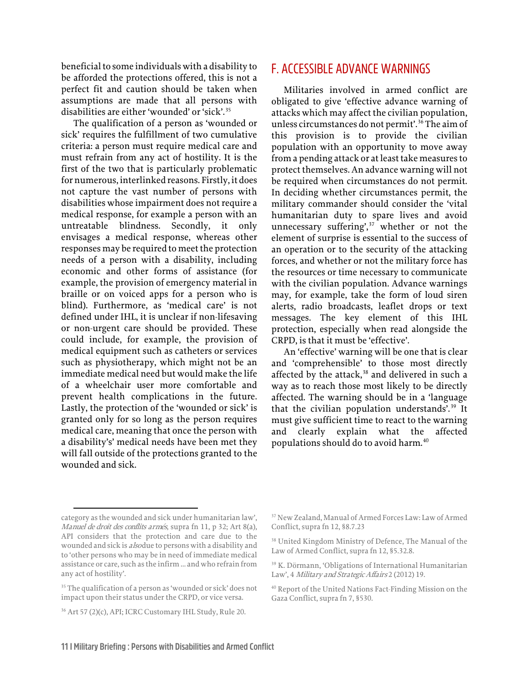beneficial to some individuals with a disability to be afforded the protections offered, this is not a perfect fit and caution should be taken when assumptions are made that all persons with disabilities are either 'wounded' or 'sick'.[35](#page-12-1)

The qualification of a person as 'wounded or sick' requires the fulfillment of two cumulative criteria: a person must require medical care and must refrain from any act of hostility. It is the first of the two that is particularly problematic for numerous, interlinked reasons. Firstly, it does not capture the vast number of persons with disabilities whose impairment does not require a medical response, for example a person with an untreatable blindness. Secondly, it only envisages a medical response, whereas other responses may be required to meet the protection needs of a person with a disability, including economic and other forms of assistance (for example, the provision of emergency material in braille or on voiced apps for a person who is blind). Furthermore, as 'medical care' is not defined under IHL, it is unclear if non-lifesaving or non-urgent care should be provided. These could include, for example, the provision of medical equipment such as catheters or services such as physiotherapy, which might not be an immediate medical need but would make the life of a wheelchair user more comfortable and prevent health complications in the future. Lastly, the protection of the 'wounded or sick' is granted only for so long as the person requires medical care, meaning that once the person with a disability's' medical needs have been met they will fall outside of the protections granted to the wounded and sick.

#### <span id="page-12-0"></span>F. ACCESSIBLE ADVANCE WARNINGS

Militaries involved in armed conflict are obligated to give 'effective advance warning of attacks which may affect the civilian population, unless circumstances do not permit'.<sup>[36](#page-12-2)</sup> The aim of this provision is to provide the civilian population with an opportunity to move away from a pending attack or at least take measures to protect themselves. An advance warning will not be required when circumstances do not permit. In deciding whether circumstances permit, the military commander should consider the 'vital humanitarian duty to spare lives and avoid unnecessary suffering',<sup>[37](#page-12-3)</sup> whether or not the element of surprise is essential to the success of an operation or to the security of the attacking forces, and whether or not the military force has the resources or time necessary to communicate with the civilian population. Advance warnings may, for example, take the form of loud siren alerts, radio broadcasts, leaflet drops or text messages. The key element of this IHL protection, especially when read alongside the CRPD, is that it must be 'effective'.

An 'effective' warning will be one that is clear and 'comprehensible' to those most directly affected by the attack, $38$  and delivered in such a way as to reach those most likely to be directly affected. The warning should be in a 'language that the civilian population understands'.<sup>[39](#page-12-5)</sup> It must give sufficient time to react to the warning and clearly explain what the affected populations should do to avoid harm.[40](#page-12-6)

<sup>37</sup> New Zealand, Manual of Armed Forces Law: Law of Armed Conflict, supra fn 12, §8.7.23

<span id="page-12-4"></span><span id="page-12-3"></span>category as the wounded and sick under humanitarian law', Manuel de droit des conflits armés, supra fn 11, p 32; Art 8(a), API considers that the protection and care due to the wounded and sick is *also* due to persons with a disability and to 'other persons who may be in need of immediate medical assistance or care, such as the infirm … and who refrain from any act of hostility'.

<span id="page-12-6"></span><span id="page-12-5"></span><span id="page-12-1"></span><sup>&</sup>lt;sup>35</sup> The qualification of a person as 'wounded or sick' does not impact upon their status under the CRPD, or vice versa.

<span id="page-12-2"></span><sup>36</sup> Art 57 (2)(c), API; ICRC Customary IHL Study, Rule 20.

<sup>38</sup> United Kingdom Ministry of Defence, The Manual of the Law of Armed Conflict, supra fn 12, §5.32.8.

<sup>39</sup> K. Dörmann, 'Obligations of International Humanitarian Law', 4 Military and Strategic Affairs 2 (2012) 19.

<sup>40</sup> Report of the United Nations Fact-Finding Mission on the Gaza Conflict, supra fn 7, §530.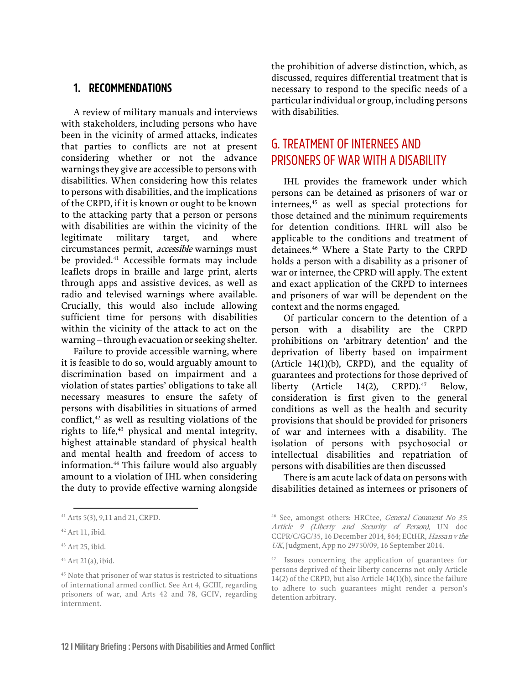#### <span id="page-13-0"></span>**1. RECOMMENDATIONS**

A review of military manuals and interviews with stakeholders, including persons who have been in the vicinity of armed attacks, indicates that parties to conflicts are not at present considering whether or not the advance warnings they give are accessible to persons with disabilities. When considering how this relates to persons with disabilities, and the implications of the CRPD, if it is known or ought to be known to the attacking party that a person or persons with disabilities are within the vicinity of the legitimate military target, and where circumstances permit, accessible warnings must be provided.<sup>[41](#page-13-2)</sup> Accessible formats may include leaflets drops in braille and large print, alerts through apps and assistive devices, as well as radio and televised warnings where available. Crucially, this would also include allowing sufficient time for persons with disabilities within the vicinity of the attack to act on the warning – through evacuation or seeking shelter.

Failure to provide accessible warning, where it is feasible to do so, would arguably amount to discrimination based on impairment and a violation of states parties' obligations to take all necessary measures to ensure the safety of persons with disabilities in situations of armed conflict, $42$  as well as resulting violations of the rights to life,<sup>[43](#page-13-4)</sup> physical and mental integrity, highest attainable standard of physical health and mental health and freedom of access to information.[44](#page-13-5) This failure would also arguably amount to a violation of IHL when considering the duty to provide effective warning alongside the prohibition of adverse distinction, which, as discussed, requires differential treatment that is necessary to respond to the specific needs of a particular individual or group, including persons with disabilities.

#### <span id="page-13-1"></span>G. TREATMENT OF INTERNEES AND PRISONERS OF WAR WITH A DISABILITY

IHL provides the framework under which persons can be detained as prisoners of war or internees,<sup>[45](#page-13-6)</sup> as well as special protections for those detained and the minimum requirements for detention conditions. IHRL will also be applicable to the conditions and treatment of detainees.<sup>[46](#page-13-2)</sup> Where a State Party to the CRPD holds a person with a disability as a prisoner of war or internee, the CPRD will apply. The extent and exact application of the CRPD to internees and prisoners of war will be dependent on the context and the norms engaged.

Of particular concern to the detention of a person with a disability are the CRPD prohibitions on 'arbitrary detention' and the deprivation of liberty based on impairment (Article 14(1)(b), CRPD), and the equality of guarantees and protections for those deprived of liberty (Article 14(2), CRPD). $47$  Below, consideration is first given to the general conditions as well as the health and security provisions that should be provided for prisoners of war and internees with a disability. The isolation of persons with psychosocial or intellectual disabilities and repatriation of persons with disabilities are then discussed

There is am acute lack of data on persons with disabilities detained as internees or prisoners of

<span id="page-13-2"></span><sup>41</sup> Arts 5(3), 9,11 and 21, CRPD.

<span id="page-13-3"></span><sup>42</sup> Art 11, ibid.

<span id="page-13-4"></span><sup>43</sup> Art 25, ibid.

<span id="page-13-7"></span><span id="page-13-5"></span><sup>44</sup> Art 21(a), ibid.

<span id="page-13-6"></span><sup>45</sup> Note that prisoner of war status is restricted to situations of international armed conflict. See Art 4, GCIII, regarding prisoners of war, and Arts 42 and 78, GCIV, regarding internment.

<sup>46</sup> See, amongst others: HRCtee, General Comment No 35: Article 9 (Liberty and Security of Person), UN doc CCPR/C/GC/35, 16 December 2014, §64; ECtHR, Hassan v the UK, Judgment, App no 29750/09, 16 September 2014.

<sup>47</sup> Issues concerning the application of guarantees for persons deprived of their liberty concerns not only Article 14(2) of the CRPD, but also Article 14(1)(b), since the failure to adhere to such guarantees might render a person's detention arbitrary.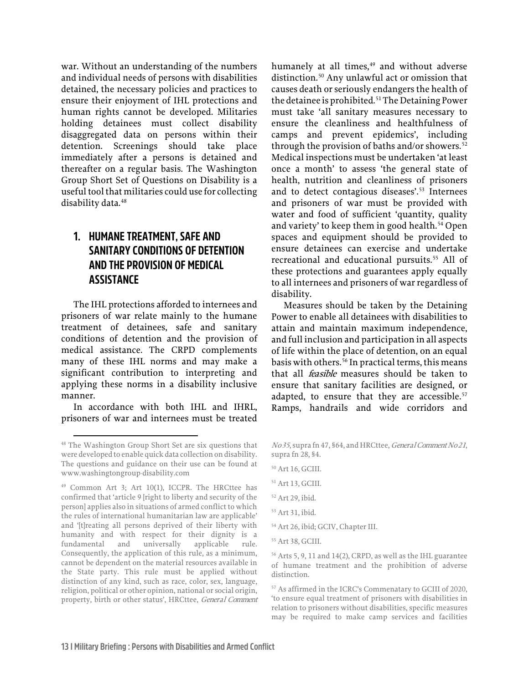war. Without an understanding of the numbers and individual needs of persons with disabilities detained, the necessary policies and practices to ensure their enjoyment of IHL protections and human rights cannot be developed. Militaries holding detainees must collect disability disaggregated data on persons within their detention. Screenings should take place immediately after a persons is detained and thereafter on a regular basis. The Washington Group Short Set of Questions on Disability is a useful tool that militaries could use for collecting disability data.<sup>48</sup>

#### <span id="page-14-0"></span>**1. HUMANE TREATMENT, SAFE AND SANITARY CONDITIONS OF DETENTION AND THE PROVISION OF MEDICAL ASSISTANCE**

The IHL protections afforded to internees and prisoners of war relate mainly to the humane treatment of detainees, safe and sanitary conditions of detention and the provision of medical assistance. The CRPD complements many of these IHL norms and may make a significant contribution to interpreting and applying these norms in a disability inclusive manner.

In accordance with both IHL and IHRL, prisoners of war and internees must be treated humanely at all times,<sup>[49](#page-14-2)</sup> and without adverse distinction.[50](#page-14-3) Any unlawful act or omission that causes death or seriously endangers the health of the detainee is prohibited.<sup>[51](#page-14-4)</sup> The Detaining Power must take 'all sanitary measures necessary to ensure the cleanliness and healthfulness of camps and prevent epidemics', including through the provision of baths and/or showers. $52$ Medical inspections must be undertaken 'at least once a month' to assess 'the general state of health, nutrition and cleanliness of prisoners and to detect contagious diseases'.<sup>[53](#page-14-6)</sup> Internees and prisoners of war must be provided with water and food of sufficient 'quantity, quality and variety' to keep them in good health.<sup>[54](#page-14-7)</sup> Open spaces and equipment should be provided to ensure detainees can exercise and undertake recreational and educational pursuits.<sup>[55](#page-14-8)</sup> All of these protections and guarantees apply equally to all internees and prisoners of war regardless of disability.

Measures should be taken by the Detaining Power to enable all detainees with disabilities to attain and maintain maximum independence, and full inclusion and participation in all aspects of life within the place of detention, on an equal basis with others.<sup>[56](#page-14-9)</sup> In practical terms, this means that all *feasible* measures should be taken to ensure that sanitary facilities are designed, or adapted, to ensure that they are accessible.<sup>[57](#page-14-10)</sup> Ramps, handrails and wide corridors and

<span id="page-14-1"></span><sup>48</sup> The Washington Group Short Set are six questions that were developed to enable quick data collection on disability. The questions and guidance on their use can be found at www.washingtongroup-disability.com

<span id="page-14-10"></span><span id="page-14-9"></span><span id="page-14-8"></span><span id="page-14-7"></span><span id="page-14-6"></span><span id="page-14-5"></span><span id="page-14-4"></span><span id="page-14-3"></span><span id="page-14-2"></span><sup>49</sup> Common Art 3; Art 10(1), ICCPR. The HRCttee has confirmed that 'article 9 [right to liberty and security of the person] applies also in situations of armed conflict to which the rules of international humanitarian law are applicable' and '[t]reating all persons deprived of their liberty with humanity and with respect for their dignity is a fundamental and universally applicable rule. Consequently, the application of this rule, as a minimum, cannot be dependent on the material resources available in the State party. This rule must be applied without distinction of any kind, such as race, color, sex, language, religion, political or other opinion, national or social origin, property, birth or other status', HRCttee, General Comment

No 35, supra fn 47, §64, and HRCttee, General Comment No 21, supra fn 28, §4.

<sup>50</sup> Art 16, GCIII.

<sup>51</sup> Art 13, GCIII.

<sup>52</sup> Art 29, ibid.

<sup>53</sup> Art 31, ibid.

<sup>54</sup> Art 26, ibid; GCIV, Chapter III.

<sup>55</sup> Art 38, GCIII.

<sup>56</sup> Arts 5, 9, 11 and 14(2), CRPD, as well as the IHL guarantee of humane treatment and the prohibition of adverse distinction.

<sup>57</sup> As affirmed in the ICRC's Commenatary to GCIII of 2020, 'to ensure equal treatment of prisoners with disabilities in relation to prisoners without disabilities, specific measures may be required to make camp services and facilities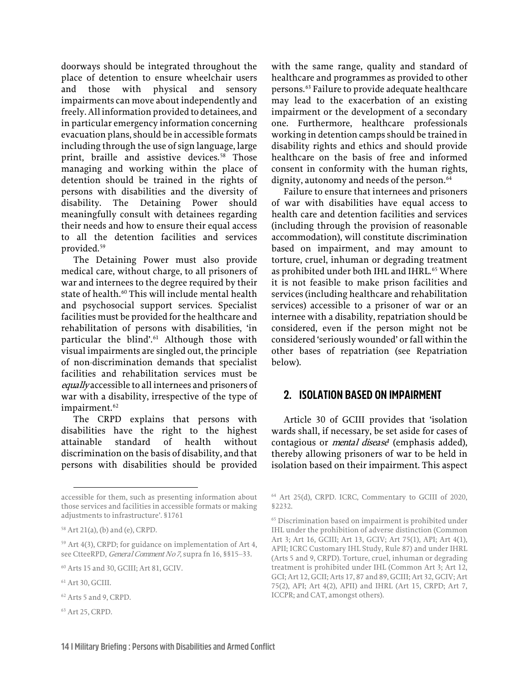doorways should be integrated throughout the place of detention to ensure wheelchair users and those with physical and sensory impairments can move about independently and freely. All information provided to detainees, and in particular emergency information concerning evacuation plans, should be in accessible formats including through the use of sign language, large print, braille and assistive devices.<sup>[58](#page-15-1)</sup> Those managing and working within the place of detention should be trained in the rights of persons with disabilities and the diversity of disability. The Detaining Power should meaningfully consult with detainees regarding their needs and how to ensure their equal access to all the detention facilities and services provided.[59](#page-15-2)

The Detaining Power must also provide medical care, without charge, to all prisoners of war and internees to the degree required by their state of health.<sup>[60](#page-15-3)</sup> This will include mental health and psychosocial support services. Specialist facilities must be provided for the healthcare and rehabilitation of persons with disabilities, 'in particular the blind'.<sup>[61](#page-15-4)</sup> Although those with visual impairments are singled out, the principle of non-discrimination demands that specialist facilities and rehabilitation services must be equally accessible to all internees and prisoners of war with a disability, irrespective of the type of impairment.<sup>[62](#page-15-5)</sup>

The CRPD explains that persons with disabilities have the right to the highest attainable standard of health without discrimination on the basis of disability, and that persons with disabilities should be provided

- <span id="page-15-5"></span>62 Arts 5 and 9, CRPD.
- <span id="page-15-6"></span>63 Art 25, CRPD.

with the same range, quality and standard of healthcare and programmes as provided to other persons.[63](#page-15-6) Failure to provide adequate healthcare may lead to the exacerbation of an existing impairment or the development of a secondary one. Furthermore, healthcare professionals working in detention camps should be trained in disability rights and ethics and should provide healthcare on the basis of free and informed consent in conformity with the human rights, dignity, autonomy and needs of the person.<sup>[64](#page-15-7)</sup>

Failure to ensure that internees and prisoners of war with disabilities have equal access to health care and detention facilities and services (including through the provision of reasonable accommodation), will constitute discrimination based on impairment, and may amount to torture, cruel, inhuman or degrading treatment as prohibited under both IHL and IHRL.<sup>[65](#page-15-8)</sup> Where it is not feasible to make prison facilities and services (including healthcare and rehabilitation services) accessible to a prisoner of war or an internee with a disability, repatriation should be considered, even if the person might not be considered 'seriously wounded' or fall within the other bases of repatriation (see Repatriation below).

#### <span id="page-15-0"></span>**2. ISOLATION BASED ON IMPAIRMENT**

Article 30 of GCIII provides that 'isolation wards shall, if necessary, be set aside for cases of contagious or *mental disease*' (emphasis added), thereby allowing prisoners of war to be held in isolation based on their impairment. This aspect

<span id="page-15-7"></span>accessible for them, such as presenting information about those services and facilities in accessible formats or making adjustments to infrastructure'. §1761

<span id="page-15-8"></span><span id="page-15-1"></span><sup>58</sup> Art 21(a), (b) and (e), CRPD.

<span id="page-15-2"></span><sup>59</sup> Art 4(3), CRPD; for guidance on implementation of Art 4, see CtteeRPD, General Comment No 7, supra fn 16, §§15-33.

<span id="page-15-3"></span><sup>60</sup> Arts 15 and 30, GCIII; Art 81, GCIV.

<span id="page-15-4"></span><sup>61</sup> Art 30, GCIII.

<sup>64</sup> Art 25(d), CRPD. ICRC, Commentary to GCIII of 2020, §2232.

<sup>65</sup> Discrimination based on impairment is prohibited under IHL under the prohibition of adverse distinction (Common Art 3; Art 16, GCIII; Art 13, GCIV; Art 75(1), API; Art 4(1), APII; ICRC Customary IHL Study, Rule 87) and under IHRL (Arts 5 and 9, CRPD). Torture, cruel, inhuman or degrading treatment is prohibited under IHL (Common Art 3; Art 12, GCI; Art 12, GCII; Arts 17, 87 and 89, GCIII; Art 32, GCIV; Art 75(2), API; Art 4(2), APII) and IHRL (Art 15, CRPD; Art 7, ICCPR; and CAT, amongst others).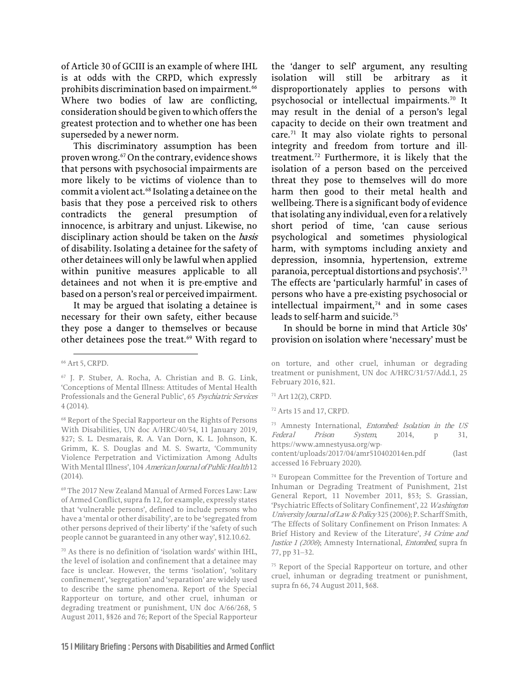of Article 30 of GCIII is an example of where IHL is at odds with the CRPD, which expressly prohibits discrimination based on impairment.<sup>[66](#page-16-0)</sup> Where two bodies of law are conflicting, consideration should be given to which offers the greatest protection and to whether one has been superseded by a newer norm.

This discriminatory assumption has been proven wrong.[67](#page-16-1) On the contrary, evidence shows that persons with psychosocial impairments are more likely to be victims of violence than to commit a violent act.<sup>[68](#page-16-2)</sup> Isolating a detainee on the basis that they pose a perceived risk to others contradicts the general presumption of innocence, is arbitrary and unjust. Likewise, no disciplinary action should be taken on the basis of disability. Isolating a detainee for the safety of other detainees will only be lawful when applied within punitive measures applicable to all detainees and not when it is pre-emptive and based on a person's real or perceived impairment.

It may be argued that isolating a detainee is necessary for their own safety, either because they pose a danger to themselves or because other detainees pose the treat.<sup>[69](#page-16-3)</sup> With regard to the 'danger to self' argument, any resulting isolation will still be arbitrary as it disproportionately applies to persons with psychosocial or intellectual impairments.[70](#page-16-4) It may result in the denial of a person's legal capacity to decide on their own treatment and care. $71$  It may also violate rights to personal integrity and freedom from torture and illtreatment.[72](#page-16-6) Furthermore, it is likely that the isolation of a person based on the perceived threat they pose to themselves will do more harm then good to their metal health and wellbeing. There is a significant body of evidence that isolating any individual, even for a relatively short period of time, 'can cause serious psychological and sometimes physiological harm, with symptoms including anxiety and depression, insomnia, hypertension, extreme paranoia, perceptual distortions and psychosis'.[73](#page-16-7) The effects are 'particularly harmful' in cases of persons who have a pre-existing psychosocial or intellectual impairment, $74$  and in some cases leads to self-harm and suicide.<sup>[75](#page-16-9)</sup>

In should be borne in mind that Article 30s' provision on isolation where 'necessary' must be

71 Art 12(2), CRPD.

<sup>73</sup> Amnesty International, Entombed: Isolation in the US Federal Prison System, 2014, p 31, [https://www.amnestyusa.org/wp-](https://www.amnestyusa.org/wp-content/uploads/2017/04/amr510402014en.pdf)

[content/uploads/2017/04/amr510402014en.pdf](https://www.amnestyusa.org/wp-content/uploads/2017/04/amr510402014en.pdf) (last accessed 16 February 2020).

<sup>74</sup> European Committee for the Prevention of Torture and Inhuman or Degrading Treatment of Punishment, 21st General Report, 11 November 2011, §53; S. Grassian, 'Psychiatric Effects of Solitary Confinement', 22 Washington University Journal of Law & Policy 325 (2006); P. Scharff Smith, 'The Effects of Solitary Confinement on Prison Inmates: A Brief History and Review of the Literature', 34 Crime and Justice 1 (2006); Amnesty International, Entombed, supra fn 77, pp 31–32.

<span id="page-16-0"></span><sup>66</sup> Art 5, CRPD.

<span id="page-16-5"></span><span id="page-16-1"></span><sup>67</sup> J. P. Stuber, A. Rocha, A. Christian and B. G. Link, 'Conceptions of Mental Illness: Attitudes of Mental Health Professionals and the General Public', 65 Psychiatric Services 4 (2014).

<span id="page-16-7"></span><span id="page-16-6"></span><span id="page-16-2"></span><sup>68</sup> Report of the Special Rapporteur on the Rights of Persons With Disabilities, UN doc A/HRC/40/54, 11 January 2019, §27; S. L. Desmarais, R. A. Van Dorn, K. L. Johnson, K. Grimm, K. S. Douglas and M. S. Swartz, 'Community Violence Perpetration and Victimization Among Adults With Mental Illness', 104 American Journal of Public Health 12 (2014).

<span id="page-16-8"></span><span id="page-16-3"></span><sup>69</sup> The 2017 New Zealand Manual of Armed Forces Law: Law of Armed Conflict, supra fn 12, for example, expressly states that 'vulnerable persons', defined to include persons who have a 'mental or other disability', are to be 'segregated from other persons deprived of their liberty' if the 'safety of such people cannot be guaranteed in any other way', §12.10.62.

<span id="page-16-9"></span><span id="page-16-4"></span><sup>70</sup> As there is no definition of 'isolation wards' within IHL, the level of isolation and confinement that a detainee may face is unclear. However, the terms 'isolation', 'solitary confinement', 'segregation' and 'separation' are widely used to describe the same phenomena. Report of the Special Rapporteur on torture, and other cruel, inhuman or degrading treatment or punishment, UN doc A/66/268, 5 August 2011, §§26 and 76; Report of the Special Rapporteur

on torture, and other cruel, inhuman or degrading treatment or punishment, UN doc A/HRC/31/57/Add.1, 25 February 2016, §21.

<sup>72</sup> Arts 15 and 17, CRPD.

<sup>75</sup> Report of the Special Rapporteur on torture, and other cruel, inhuman or degrading treatment or punishment, supra fn 66, 74 August 2011, §68.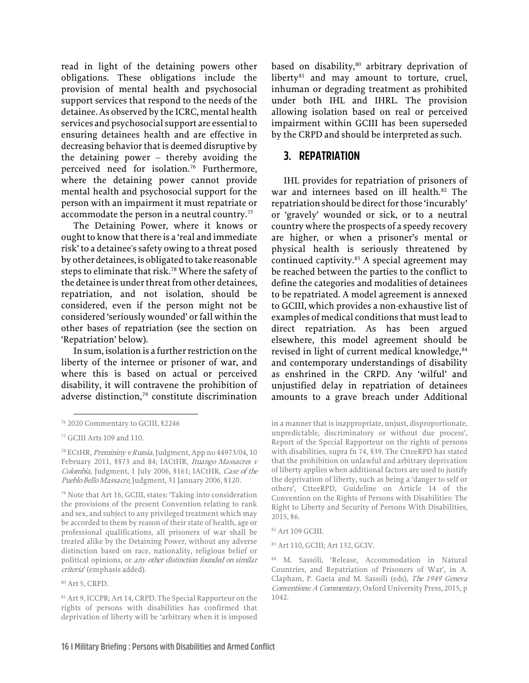read in light of the detaining powers other obligations. These obligations include the provision of mental health and psychosocial support services that respond to the needs of the detainee. As observed by the ICRC, mental health services and psychosocial support are essential to ensuring detainees health and are effective in decreasing behavior that is deemed disruptive by the detaining power – thereby avoiding the perceived need for isolation.<sup>[76](#page-17-1)</sup> Furthermore, where the detaining power cannot provide mental health and psychosocial support for the person with an impairment it must repatriate or accommodate the person in a neutral country.<sup>[77](#page-17-2)</sup>

The Detaining Power, where it knows or ought to know that there is a 'real and immediate risk' to a detainee's safety owing to a threat posed by other detainees, is obligated to take reasonable steps to eliminate that risk.<sup>[78](#page-17-3)</sup> Where the safety of the detainee is under threat from other detainees, repatriation, and not isolation, should be considered, even if the person might not be considered 'seriously wounded' or fall within the other bases of repatriation (see the section on 'Repatriation' below).

In sum, isolation is a further restriction on the liberty of the internee or prisoner of war, and where this is based on actual or perceived disability, it will contravene the prohibition of adverse distinction,<sup>[79](#page-17-4)</sup> constitute discrimination

<span id="page-17-9"></span><span id="page-17-8"></span><span id="page-17-5"></span><sup>80</sup> Art 5, CRPD.

based on disability, $80$  arbitrary deprivation of liberty $81$  and may amount to torture, cruel, inhuman or degrading treatment as prohibited under both IHL and IHRL. The provision allowing isolation based on real or perceived impairment within GCIII has been superseded by the CRPD and should be interpreted as such.

#### <span id="page-17-0"></span>**3. REPATRIATION**

IHL provides for repatriation of prisoners of war and internees based on ill health.<sup>[82](#page-17-7)</sup> The repatriation should be direct for those 'incurably' or 'gravely' wounded or sick, or to a neutral country where the prospects of a speedy recovery are higher, or when a prisoner's mental or physical health is seriously threatened by continued captivity.<sup>[83](#page-17-8)</sup> A special agreement may be reached between the parties to the conflict to define the categories and modalities of detainees to be repatriated. A model agreement is annexed to GCIII, which provides a non-exhaustive list of examples of medical conditions that must lead to direct repatriation. As has been argued elsewhere, this model agreement should be revised in light of current medical knowledge,  $84$ and contemporary understandings of disability as enshrined in the CRPD. Any 'wilful' and unjustified delay in repatriation of detainees amounts to a grave breach under Additional

in a manner that is inappropriate, unjust, disproportionate, unpredictable, discriminatory or without due process', Report of the Special Rapporteur on the rights of persons with disabilities, supra fn 74, §39. The CtteeRPD has stated that the prohibition on unlawful and arbitrary deprivation of liberty applies when additional factors are used to justify the deprivation of liberty, such as being a 'danger to self or others', CtteeRPD, Guideline on Article 14 of the Convention on the Rights of Persons with Disabilities: The Right to Liberty and Security of Persons With Disabilities, 2015, §6.

83 Art 110, GCIII; Art 132, GCIV.

<span id="page-17-1"></span><sup>76 2020</sup> Commentary to GCIII, §2246

<span id="page-17-2"></span><sup>77</sup> GCIII Arts 109 and 110.

<span id="page-17-3"></span><sup>&</sup>lt;sup>78</sup> ECtHR, *Premininy v Russia*, Judgment, App no 44973/04, 10 February 2011, §§73 and 84; IACtHR, Ituango Massacres v Colombia, Judgment, 1 July 2006, §161; IACtHR, Case of the Pueblo Bello Massacre, Judgment, 31 January 2006, §120.

<span id="page-17-7"></span><span id="page-17-4"></span><sup>79</sup> Note that Art 16, GCIII, states: 'Taking into consideration the provisions of the present Convention relating to rank and sex, and subject to any privileged treatment which may be accorded to them by reason of their state of health, age or professional qualifications, all prisoners of war shall be treated alike by the Detaining Power, without any adverse distinction based on race, nationality, religious belief or political opinions, or any other distinction founded on similar criteria' (emphasis added).

<span id="page-17-6"></span><sup>81</sup> Art 9, ICCPR; Art 14, CRPD. The Special Rapporteur on the rights of persons with disabilities has confirmed that deprivation of liberty will be 'arbitrary when it is imposed

<sup>82</sup> Art 109 GCIII.

<sup>84</sup> M. Sassóli, 'Release, Accommodation in Natural Countries, and Repatriation of Prisoners of War', in A. Clapham, P. Gaeta and M. Sassóli (eds), The 1949 Geneva Conventions: A Commentary, Oxford University Press, 2015, p 1042.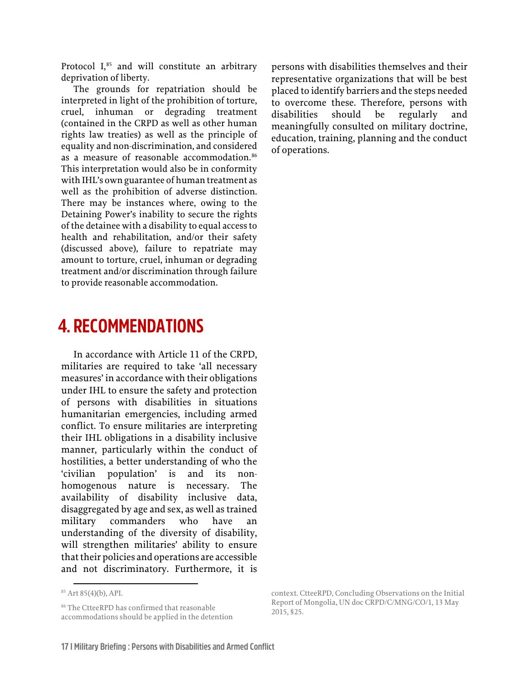Protocol I,<sup>[85](#page-18-1)</sup> and will constitute an arbitrary deprivation of liberty.

The grounds for repatriation should be interpreted in light of the prohibition of torture, cruel, inhuman or degrading treatment (contained in the CRPD as well as other human rights law treaties) as well as the principle of equality and non-discrimination, and considered as a measure of reasonable accommodation.<sup>[86](#page-18-2)</sup> This interpretation would also be in conformity with IHL's own guarantee of human treatment as well as the prohibition of adverse distinction. There may be instances where, owing to the Detaining Power's inability to secure the rights of the detainee with a disability to equal access to health and rehabilitation, and/or their safety (discussed above), failure to repatriate may amount to torture, cruel, inhuman or degrading treatment and/or discrimination through failure to provide reasonable accommodation.

### <span id="page-18-0"></span>**4. RECOMMENDATIONS**

In accordance with Article 11 of the CRPD, militaries are required to take 'all necessary measures' in accordance with their obligations under IHL to ensure the safety and protection of persons with disabilities in situations humanitarian emergencies, including armed conflict. To ensure militaries are interpreting their IHL obligations in a disability inclusive manner, particularly within the conduct of hostilities, a better understanding of who the 'civilian population' is and its nonhomogenous nature is necessary. The availability of disability inclusive data, disaggregated by age and sex, as well as trained military commanders who have understanding of the diversity of disability, will strengthen militaries' ability to ensure that their policies and operations are accessible and not discriminatory. Furthermore, it is

persons with disabilities themselves and their representative organizations that will be best placed to identify barriers and the steps needed to overcome these. Therefore, persons with disabilities should be regularly and meaningfully consulted on military doctrine, education, training, planning and the conduct of operations.

<span id="page-18-1"></span><sup>85</sup> Art 85(4)(b), API.

<span id="page-18-2"></span><sup>&</sup>lt;sup>86</sup> The CtteeRPD has confirmed that reasonable accommodations should be applied in the detention

context. CtteeRPD, Concluding Observations on the Initial Report of Mongolia, UN doc CRPD/C/MNG/CO/1, 13 May 2015, §25.